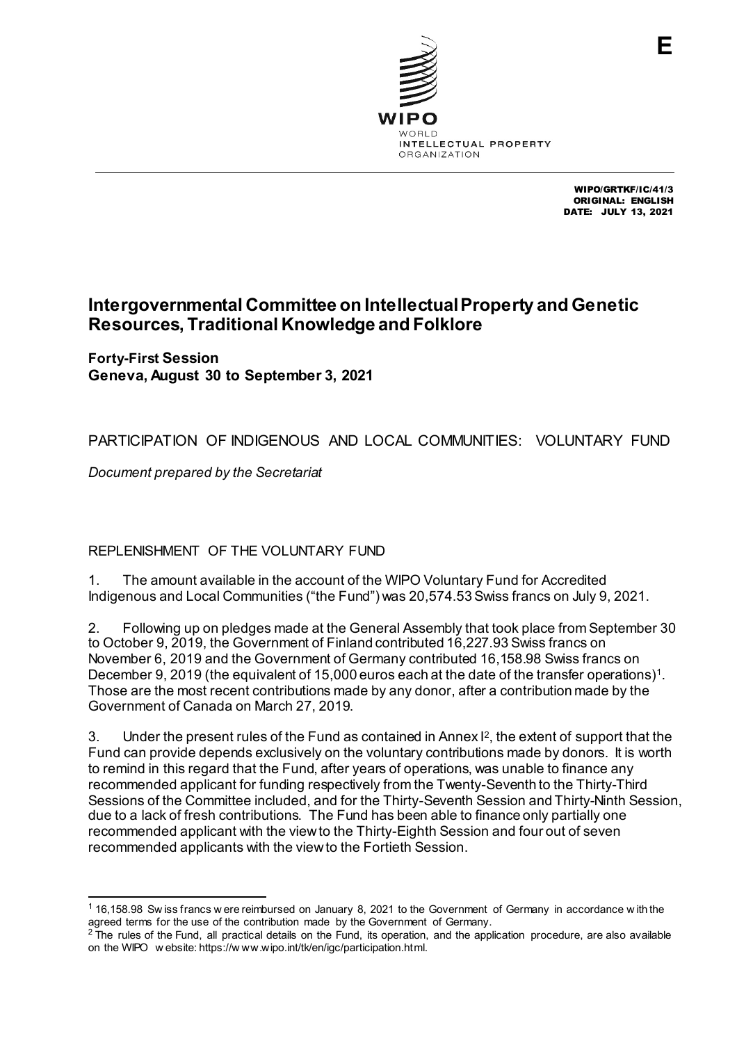

WIPO/GRTKF/IC/41/3 ORIGINAL: ENGLISH DATE: JULY 13, 2021

# **Intergovernmental Committee on Intellectual Property and Genetic Resources, Traditional Knowledge and Folklore**

**Forty-First Session Geneva, August 30 to September 3, 2021**

PARTICIPATION OF INDIGENOUS AND LOCAL COMMUNITIES: VOLUNTARY FUND

*Document prepared by the Secretariat*

REPLENISHMENT OF THE VOLUNTARY FUND

1. The amount available in the account of the WIPO Voluntary Fund for Accredited Indigenous and Local Communities ("the Fund") was 20,574.53Swiss francs on July 9, 2021.

2. Following up on pledges made at the General Assembly that took place from September 30 to October 9, 2019, the Government of Finland contributed 16,227.93 Swiss francs on November 6, 2019 and the Government of Germany contributed 16,158.98 Swiss francs on December 9, 2019 (the equivalent of 15,000 euros each at the date of the transfer operations)<sup>1</sup>. Those are the most recent contributions made by any donor, after a contribution made by the Government of Canada on March 27, 2019.

3. Under the present rules of the Fund as contained in Annex  $l^2$ , the extent of support that the Fund can provide depends exclusively on the voluntary contributions made by donors. It is worth to remind in this regard that the Fund, after years of operations, was unable to finance any recommended applicant for funding respectively from the Twenty-Seventh to the Thirty-Third Sessions of the Committee included, and for the Thirty-Seventh Session and Thirty-Ninth Session, due to a lack of fresh contributions. The Fund has been able to finance only partially one recommended applicant with the view to the Thirty-Eighth Session and four out of seven recommended applicants with the view to the Fortieth Session.

<span id="page-0-0"></span> <sup>1</sup> 16,158.98 Sw iss francs w ere reimbursed on January 8, 2021 to the Government of Germany in accordance w ith the agreed terms for the use of the contribution made by the Government of Germany.

<span id="page-0-1"></span><sup>&</sup>lt;sup>2</sup> The rules of the Fund, all practical details on the Fund, its operation, and the application procedure, are also available on the WIPO w ebsite: https://w ww.wipo.int/tk/en/igc/participation.html.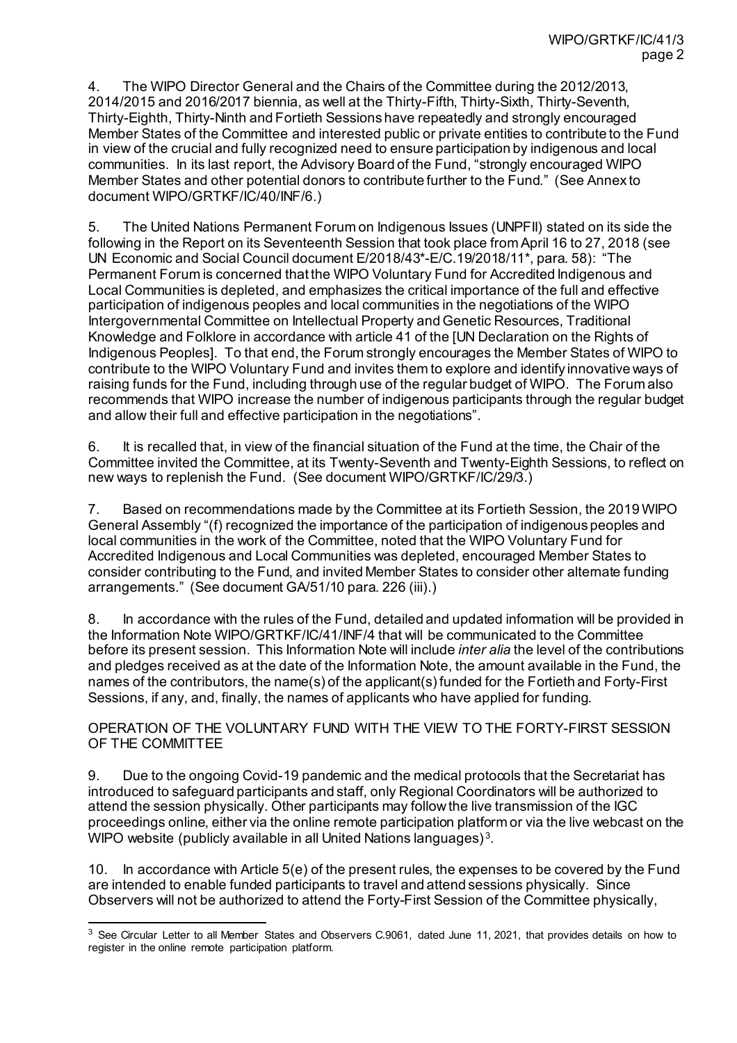4. The WIPO Director General and the Chairs of the Committee during the 2012/2013, 2014/2015 and 2016/2017 biennia, as well at the Thirty-Fifth, Thirty-Sixth, Thirty-Seventh, Thirty-Eighth, Thirty-Ninth and Fortieth Sessions have repeatedly and strongly encouraged Member States of the Committee and interested public or private entities to contribute to the Fund in view of the crucial and fully recognized need to ensure participation by indigenous and local communities. In its last report, the Advisory Board of the Fund, "strongly encouraged WIPO Member States and other potential donors to contribute further to the Fund." (See Annex to document WIPO/GRTKF/IC/40/INF/6.)

5. The United Nations Permanent Forum on Indigenous Issues (UNPFII) stated on its side the following in the Report on its Seventeenth Session that took place from April 16 to 27, 2018 (see UN Economic and Social Council document E/2018/43\*-E/C.19/2018/11\*, para. 58): "The Permanent Forum is concerned that the WIPO Voluntary Fund for Accredited Indigenous and Local Communities is depleted, and emphasizes the critical importance of the full and effective participation of indigenous peoples and local communities in the negotiations of the WIPO Intergovernmental Committee on Intellectual Property and Genetic Resources, Traditional Knowledge and Folklore in accordance with article 41 of the [UN Declaration on the Rights of Indigenous Peoples]. To that end, the Forum strongly encourages the Member States of WIPO to contribute to the WIPO Voluntary Fund and invites them to explore and identify innovative ways of raising funds for the Fund, including through use of the regular budget of WIPO. The Forum also recommends that WIPO increase the number of indigenous participants through the regular budget and allow their full and effective participation in the negotiations".

6. It is recalled that, in view of the financial situation of the Fund at the time, the Chair of the Committee invited the Committee, at its Twenty-Seventh and Twenty-Eighth Sessions, to reflect on new ways to replenish the Fund. (See document WIPO/GRTKF/IC/29/3.)

7. Based on recommendations made by the Committee at its Fortieth Session, the 2019 WIPO General Assembly "(f) recognized the importance of the participation of indigenous peoples and local communities in the work of the Committee, noted that the WIPO Voluntary Fund for Accredited Indigenous and Local Communities was depleted, encouraged Member States to consider contributing to the Fund, and invited Member States to consider other alternate funding arrangements." (See document GA/51/10 para. 226 (iii).)

8. In accordance with the rules of the Fund, detailed and updated information will be provided in the Information Note WIPO/GRTKF/IC/41/INF/4 that will be communicated to the Committee before its present session. This Information Note will include *inter alia* the level of the contributions and pledges received as at the date of the Information Note, the amount available in the Fund, the names of the contributors, the name(s) of the applicant(s) funded for the Fortieth and Forty-First Sessions, if any, and, finally, the names of applicants who have applied for funding.

# OPERATION OF THE VOLUNTARY FUND WITH THE VIEW TO THE FORTY-FIRST SESSION OF THE COMMITTEE

9. Due to the ongoing Covid-19 pandemic and the medical protocols that the Secretariat has introduced to safeguard participants and staff, only Regional Coordinators will be authorized to attend the session physically. Other participants may follow the live transmission of the IGC proceedings online, either via the online remote participation platform or via the live webcast on the WIPO website (publicly available in all United Nations languages)<sup>[3](#page-1-0)</sup>.

10. In accordance with Article 5(e) of the present rules, the expenses to be covered by the Fund are intended to enable funded participants to travel and attend sessions physically. Since Observers will not be authorized to attend the Forty-First Session of the Committee physically,

<span id="page-1-0"></span><sup>&</sup>lt;sup>3</sup> See Circular Letter to all Member States and Observers C.9061, dated June 11, 2021, that provides details on how to register in the online remote participation platform.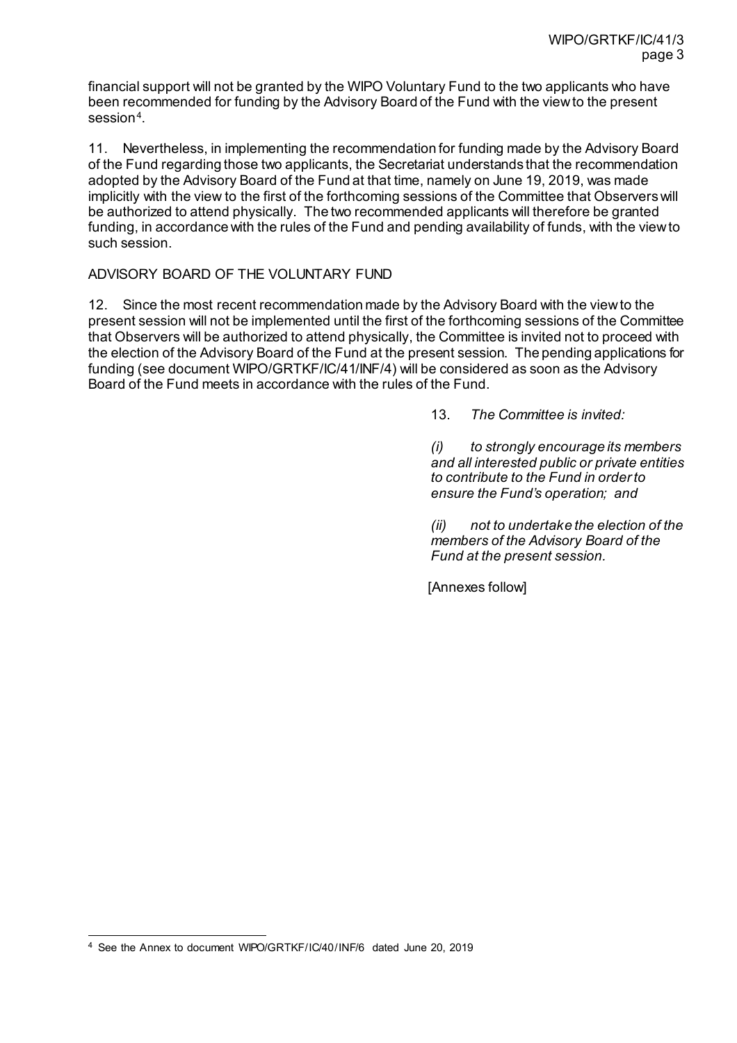financial support will not be granted by the WIPO Voluntary Fund to the two applicants who have been recommended for funding by the Advisory Board of the Fund with the view to the present session[4](#page-2-0).

11. Nevertheless, in implementing the recommendation for funding made by the Advisory Board of the Fund regarding those two applicants, the Secretariat understands that the recommendation adopted by the Advisory Board of the Fund at that time, namely on June 19, 2019, was made implicitly with the view to the first of the forthcoming sessions of the Committee that Observers will be authorized to attend physically. The two recommended applicants will therefore be granted funding, in accordance with the rules of the Fund and pending availability of funds, with the view to such session.

# ADVISORY BOARD OF THE VOLUNTARY FUND

12. Since the most recent recommendation made by the Advisory Board with the view to the present session will not be implemented until the first of the forthcoming sessions of the Committee that Observers will be authorized to attend physically, the Committee is invited not to proceed with the election of the Advisory Board of the Fund at the present session. The pending applications for funding (see document WIPO/GRTKF/IC/41/INF/4) will be considered as soon as the Advisory Board of the Fund meets in accordance with the rules of the Fund.

13. *The Committee is invited:* 

*(i) to strongly encourage its members and all interested public or private entities to contribute to the Fund in order to ensure the Fund's operation; and*

*(ii) not to undertake the election of the members of the Advisory Board of the Fund at the present session.*

[Annexes follow]

<span id="page-2-0"></span> <sup>4</sup> See the Annex to document WIPO/GRTKF/IC/40/INF/6 dated June 20, 2019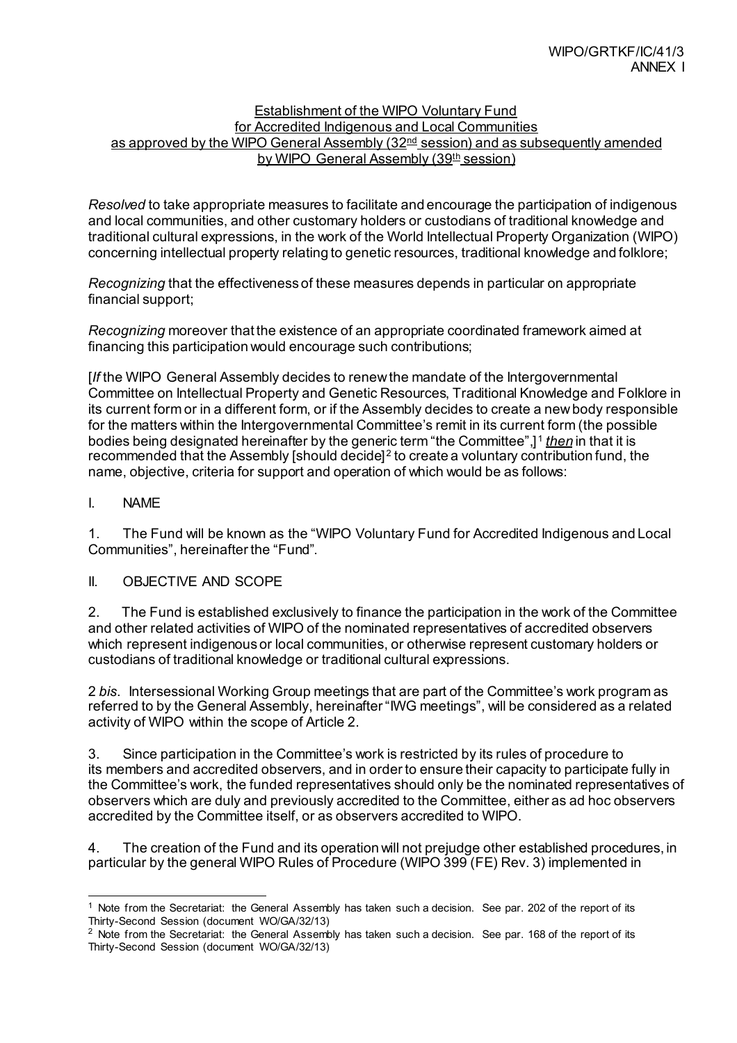### Establishment of the WIPO Voluntary Fund for Accredited Indigenous and Local Communities as approved by the WIPO General Assembly (32<sup>nd</sup> session) and as subsequently amended by WIPO General Assembly (39<sup>th</sup> session)

*Resolved* to take appropriate measures to facilitate and encourage the participation of indigenous and local communities, and other customary holders or custodians of traditional knowledge and traditional cultural expressions, in the work of the World Intellectual Property Organization (WIPO) concerning intellectual property relating to genetic resources, traditional knowledge and folklore;

*Recognizing* that the effectiveness of these measures depends in particular on appropriate financial support;

*Recognizing* moreover that the existence of an appropriate coordinated framework aimed at financing this participation would encourage such contributions;

[*If* the WIPO General Assembly decides to renew the mandate of the Intergovernmental Committee on Intellectual Property and Genetic Resources, Traditional Knowledge and Folklore in its current form or in a different form, or if the Assembly decides to create a new body responsible for the matters within the Intergovernmental Committee's remit in its current form (the possible bodies being designated hereinafter by the generic term "the Committee",] [1](#page-3-0) *then* in that it is recommended that the Assembly [should decide][2](#page-3-1) to create a voluntary contribution fund, the name, objective, criteria for support and operation of which would be as follows:

# I. NAME

1. The Fund will be known as the "WIPO Voluntary Fund for Accredited Indigenous and Local Communities", hereinafter the "Fund".

# II. OBJECTIVE AND SCOPE

2. The Fund is established exclusively to finance the participation in the work of the Committee and other related activities of WIPO of the nominated representatives of accredited observers which represent indigenous or local communities, or otherwise represent customary holders or custodians of traditional knowledge or traditional cultural expressions.

2 *bis*. Intersessional Working Group meetings that are part of the Committee's work program as referred to by the General Assembly, hereinafter "IWG meetings", will be considered as a related activity of WIPO within the scope of Article 2.

3. Since participation in the Committee's work is restricted by its rules of procedure to its members and accredited observers, and in order to ensure their capacity to participate fully in the Committee's work, the funded representatives should only be the nominated representatives of observers which are duly and previously accredited to the Committee, either as ad hoc observers accredited by the Committee itself, or as observers accredited to WIPO.

4. The creation of the Fund and its operation will not prejudge other established procedures, in particular by the general WIPO Rules of Procedure (WIPO 399 (FE) Rev. 3) implemented in

<span id="page-3-0"></span> <sup>1</sup> Note from the Secretariat: the General Assembly has taken such a decision. See par. 202 of the report of its Thirty-Second Session (document WO/GA/32/13)

<span id="page-3-1"></span><sup>&</sup>lt;sup>2</sup> Note from the Secretariat: the General Assembly has taken such a decision. See par. 168 of the report of its Thirty-Second Session (document WO/GA/32/13)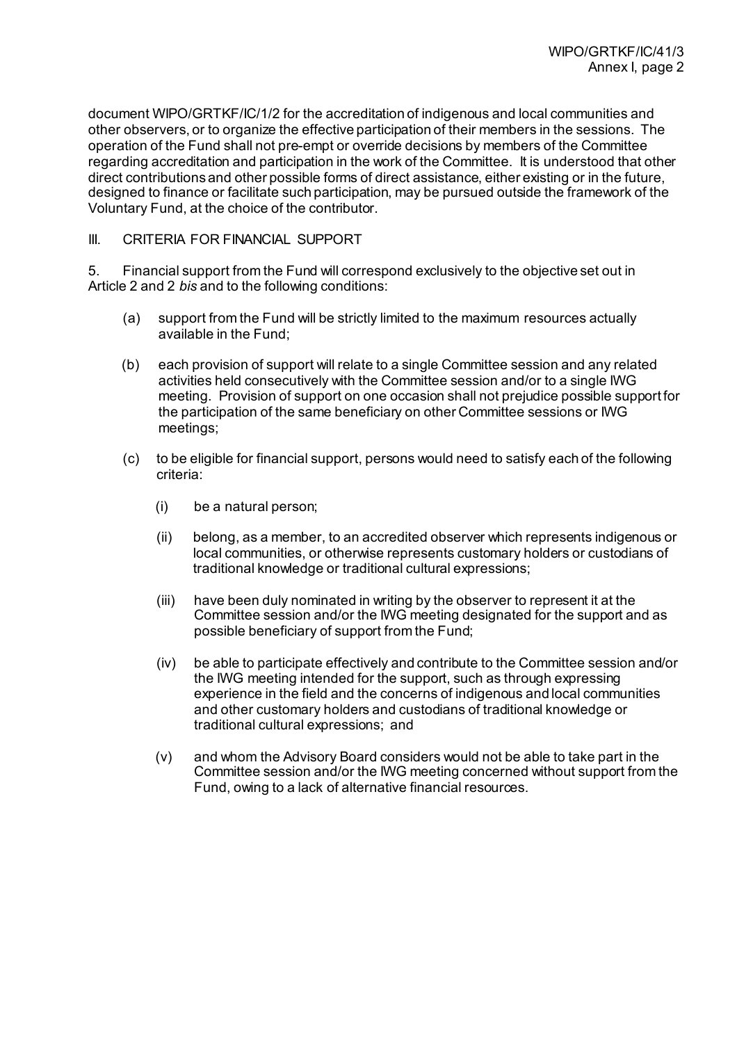document WIPO/GRTKF/IC/1/2 for the accreditation of indigenous and local communities and other observers, or to organize the effective participation of their members in the sessions. The operation of the Fund shall not pre-empt or override decisions by members of the Committee regarding accreditation and participation in the work of the Committee. It is understood that other direct contributions and other possible forms of direct assistance, either existing or in the future, designed to finance or facilitate such participation, may be pursued outside the framework of the Voluntary Fund, at the choice of the contributor.

# III. CRITERIA FOR FINANCIAL SUPPORT

5. Financial support from the Fund will correspond exclusively to the objective set out in Article 2 and 2 *bis* and to the following conditions:

- (a) support from the Fund will be strictly limited to the maximum resources actually available in the Fund;
- (b) each provision of support will relate to a single Committee session and any related activities held consecutively with the Committee session and/or to a single IWG meeting. Provision of support on one occasion shall not prejudice possible support for the participation of the same beneficiary on other Committee sessions or IWG meetings;
- (c) to be eligible for financial support, persons would need to satisfy each of the following criteria:
	- (i) be a natural person;
	- (ii) belong, as a member, to an accredited observer which represents indigenous or local communities, or otherwise represents customary holders or custodians of traditional knowledge or traditional cultural expressions;
	- (iii) have been duly nominated in writing by the observer to represent it at the Committee session and/or the IWG meeting designated for the support and as possible beneficiary of support from the Fund;
	- (iv) be able to participate effectively and contribute to the Committee session and/or the IWG meeting intended for the support, such as through expressing experience in the field and the concerns of indigenous and local communities and other customary holders and custodians of traditional knowledge or traditional cultural expressions; and
	- (v) and whom the Advisory Board considers would not be able to take part in the Committee session and/or the IWG meeting concerned without support from the Fund, owing to a lack of alternative financial resources.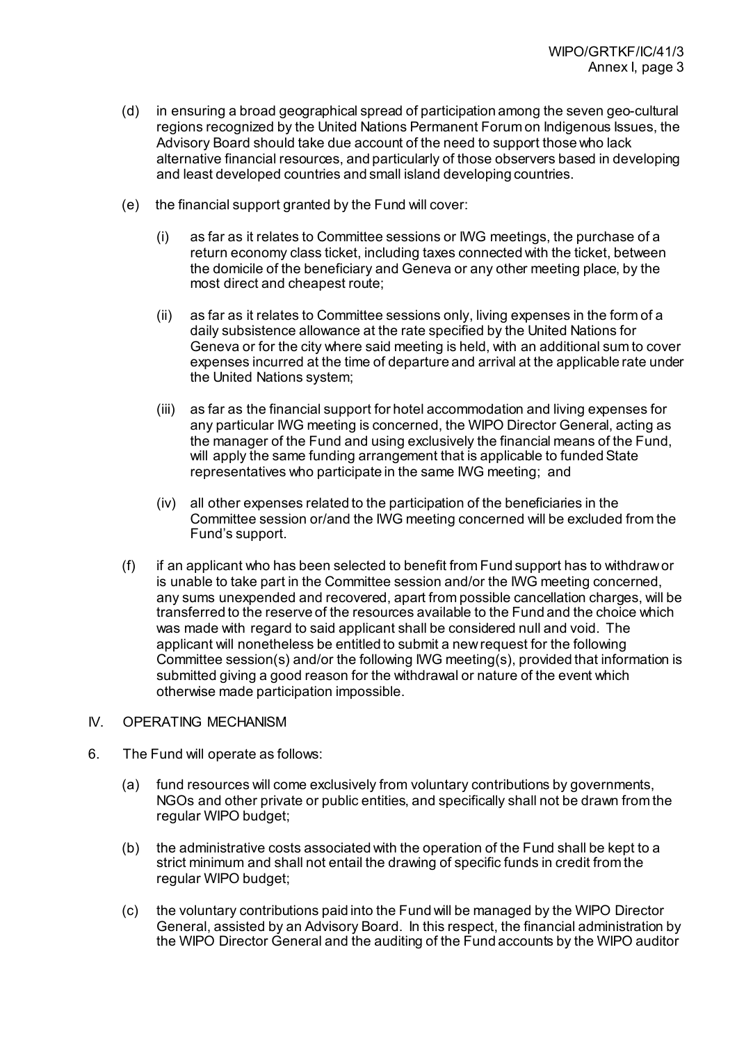- (d) in ensuring a broad geographical spread of participation among the seven geo-cultural regions recognized by the United Nations Permanent Forum on Indigenous Issues, the Advisory Board should take due account of the need to support those who lack alternative financial resources, and particularly of those observers based in developing and least developed countries and small island developing countries.
- (e) the financial support granted by the Fund will cover:
	- (i) as far as it relates to Committee sessions or IWG meetings, the purchase of a return economy class ticket, including taxes connected with the ticket, between the domicile of the beneficiary and Geneva or any other meeting place, by the most direct and cheapest route;
	- (ii) as far as it relates to Committee sessions only, living expenses in the form of a daily subsistence allowance at the rate specified by the United Nations for Geneva or for the city where said meeting is held, with an additional sum to cover expenses incurred at the time of departure and arrival at the applicable rate under the United Nations system;
	- (iii) as far as the financial support for hotel accommodation and living expenses for any particular IWG meeting is concerned, the WIPO Director General, acting as the manager of the Fund and using exclusively the financial means of the Fund, will apply the same funding arrangement that is applicable to funded State representatives who participate in the same IWG meeting; and
	- (iv) all other expenses related to the participation of the beneficiaries in the Committee session or/and the IWG meeting concerned will be excluded from the Fund's support.
- (f) if an applicant who has been selected to benefit from Fund support has to withdraw or is unable to take part in the Committee session and/or the IWG meeting concerned, any sums unexpended and recovered, apart from possible cancellation charges, will be transferred to the reserve of the resources available to the Fund and the choice which was made with regard to said applicant shall be considered null and void. The applicant will nonetheless be entitled to submit a new request for the following Committee session(s) and/or the following IWG meeting(s), provided that information is submitted giving a good reason for the withdrawal or nature of the event which otherwise made participation impossible.
- IV. OPERATING MECHANISM
- 6. The Fund will operate as follows:
	- (a) fund resources will come exclusively from voluntary contributions by governments, NGOs and other private or public entities, and specifically shall not be drawn from the regular WIPO budget;
	- (b) the administrative costs associated with the operation of the Fund shall be kept to a strict minimum and shall not entail the drawing of specific funds in credit from the regular WIPO budget;
	- (c) the voluntary contributions paid into the Fund will be managed by the WIPO Director General, assisted by an Advisory Board. In this respect, the financial administration by the WIPO Director General and the auditing of the Fund accounts by the WIPO auditor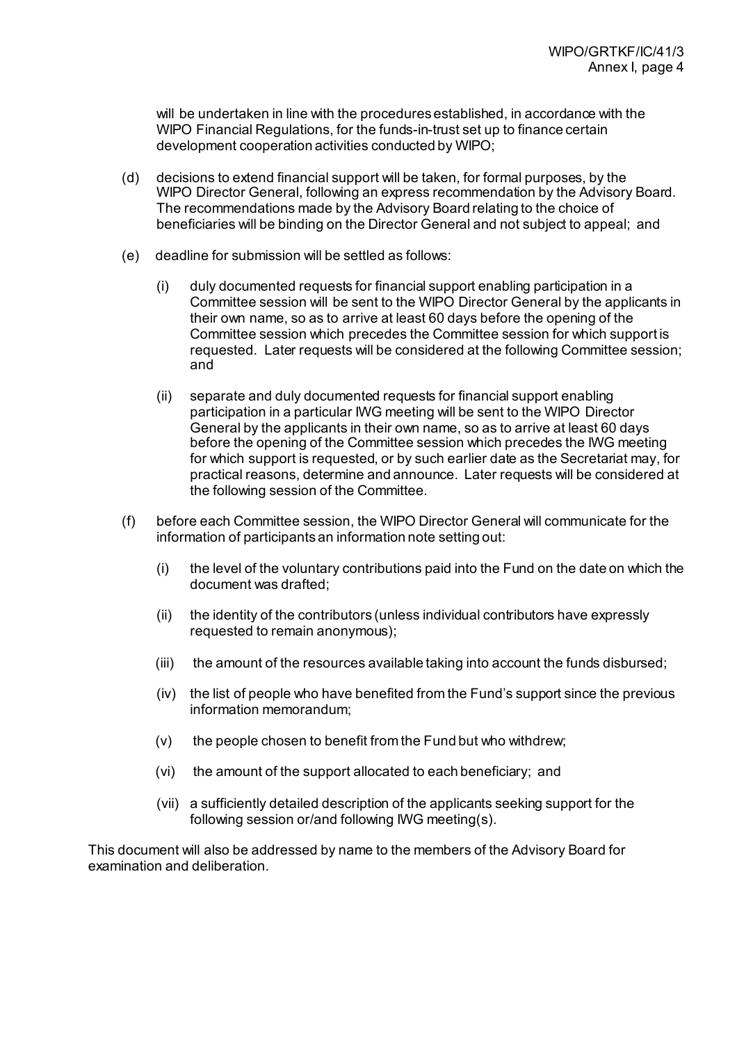will be undertaken in line with the procedures established, in accordance with the WIPO Financial Regulations, for the funds-in-trust set up to finance certain development cooperation activities conducted by WIPO;

- (d) decisions to extend financial support will be taken, for formal purposes, by the WIPO Director General, following an express recommendation by the Advisory Board. The recommendations made by the Advisory Board relating to the choice of beneficiaries will be binding on the Director General and not subject to appeal; and
- (e) deadline for submission will be settled as follows:
	- (i) duly documented requests for financial support enabling participation in a Committee session will be sent to the WIPO Director General by the applicants in their own name, so as to arrive at least 60 days before the opening of the Committee session which precedes the Committee session for which support is requested. Later requests will be considered at the following Committee session; and
	- (ii) separate and duly documented requests for financial support enabling participation in a particular IWG meeting will be sent to the WIPO Director General by the applicants in their own name, so as to arrive at least 60 days before the opening of the Committee session which precedes the IWG meeting for which support is requested, or by such earlier date as the Secretariat may, for practical reasons, determine and announce. Later requests will be considered at the following session of the Committee.
- (f) before each Committee session, the WIPO Director General will communicate for the information of participants an information note setting out:
	- (i) the level of the voluntary contributions paid into the Fund on the date on which the document was drafted;
	- (ii) the identity of the contributors (unless individual contributors have expressly requested to remain anonymous);
	- (iii) the amount of the resources available taking into account the funds disbursed;
	- (iv) the list of people who have benefited from the Fund's support since the previous information memorandum;
	- $(v)$  the people chosen to benefit from the Fund but who withdrew;
	- (vi) the amount of the support allocated to each beneficiary; and
	- (vii) a sufficiently detailed description of the applicants seeking support for the following session or/and following IWG meeting(s).

This document will also be addressed by name to the members of the Advisory Board for examination and deliberation.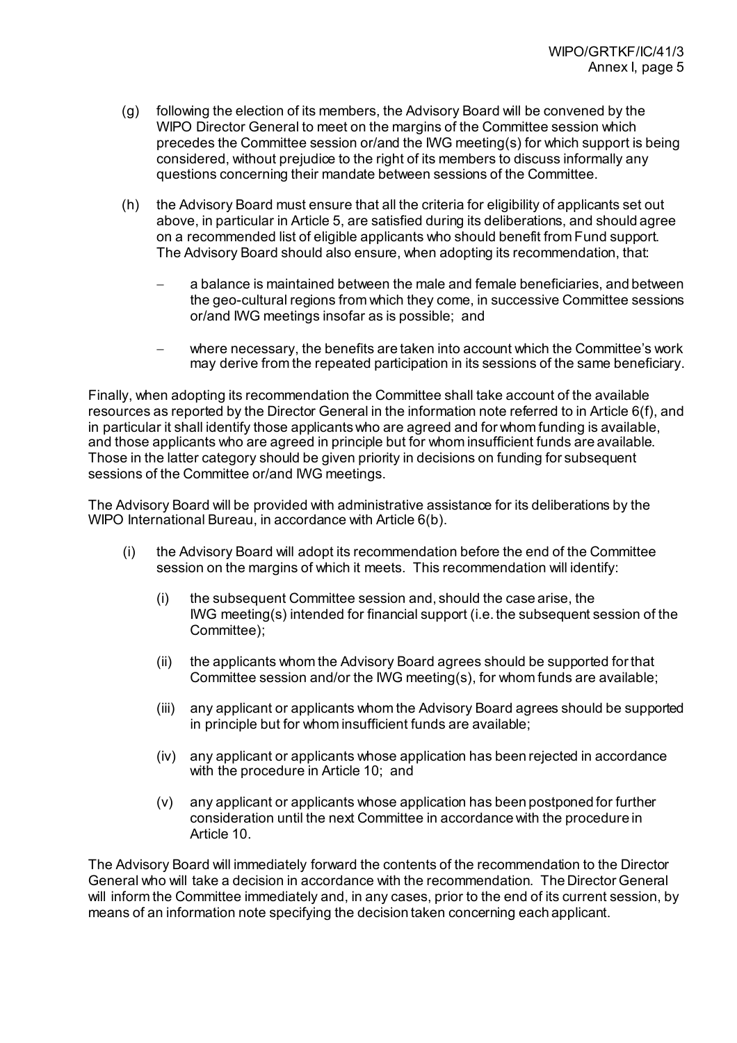- (g) following the election of its members, the Advisory Board will be convened by the WIPO Director General to meet on the margins of the Committee session which precedes the Committee session or/and the IWG meeting(s) for which support is being considered, without prejudice to the right of its members to discuss informally any questions concerning their mandate between sessions of the Committee.
- (h) the Advisory Board must ensure that all the criteria for eligibility of applicants set out above, in particular in Article 5, are satisfied during its deliberations, and should agree on a recommended list of eligible applicants who should benefit from Fund support. The Advisory Board should also ensure, when adopting its recommendation, that:
	- − a balance is maintained between the male and female beneficiaries, and between the geo-cultural regions from which they come, in successive Committee sessions or/and IWG meetings insofar as is possible; and
	- − where necessary, the benefits are taken into account which the Committee's work may derive from the repeated participation in its sessions of the same beneficiary.

Finally, when adopting its recommendation the Committee shall take account of the available resources as reported by the Director General in the information note referred to in Article 6(f), and in particular it shall identify those applicants who are agreed and for whom funding is available, and those applicants who are agreed in principle but for whom insufficient funds are available. Those in the latter category should be given priority in decisions on funding for subsequent sessions of the Committee or/and IWG meetings.

The Advisory Board will be provided with administrative assistance for its deliberations by the WIPO International Bureau, in accordance with Article 6(b).

- (i) the Advisory Board will adopt its recommendation before the end of the Committee session on the margins of which it meets. This recommendation will identify:
	- (i) the subsequent Committee session and, should the case arise, the IWG meeting(s) intended for financial support (i.e. the subsequent session of the Committee);
	- (ii) the applicants whom the Advisory Board agrees should be supported for that Committee session and/or the IWG meeting(s), for whom funds are available;
	- (iii) any applicant or applicants whom the Advisory Board agrees should be supported in principle but for whom insufficient funds are available;
	- (iv) any applicant or applicants whose application has been rejected in accordance with the procedure in Article 10; and
	- (v) any applicant or applicants whose application has been postponed for further consideration until the next Committee in accordance with the procedure in Article 10.

The Advisory Board will immediately forward the contents of the recommendation to the Director General who will take a decision in accordance with the recommendation. The Director General will inform the Committee immediately and, in any cases, prior to the end of its current session, by means of an information note specifying the decision taken concerning each applicant.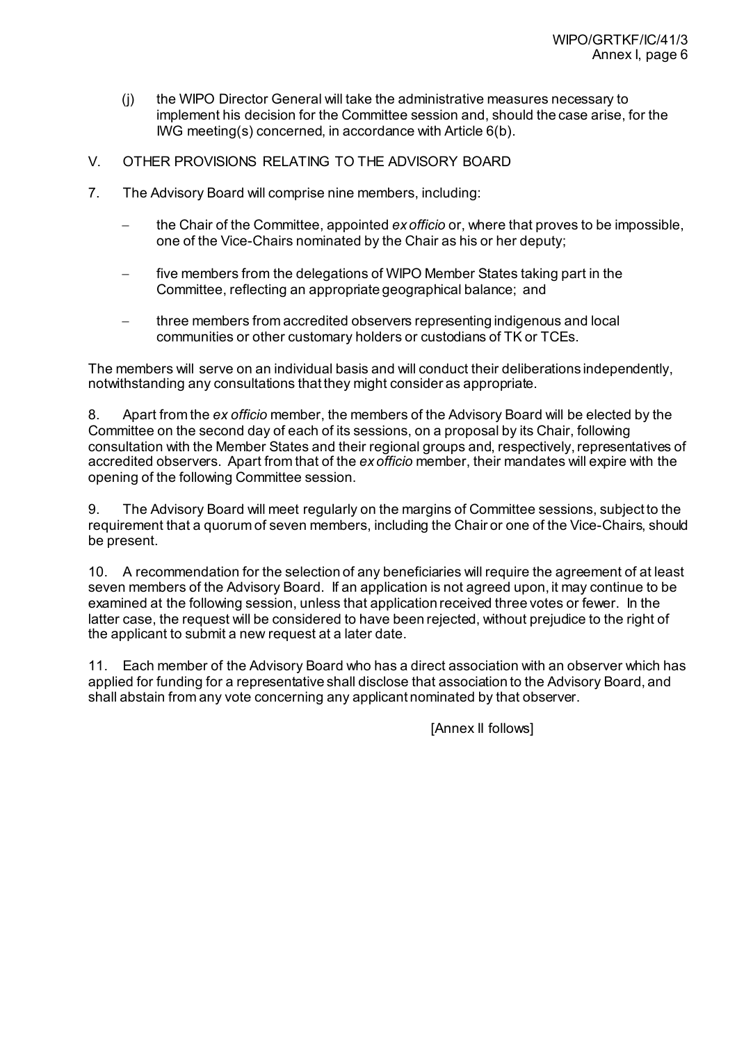- (j) the WIPO Director General will take the administrative measures necessary to implement his decision for the Committee session and, should the case arise, for the IWG meeting(s) concerned, in accordance with Article 6(b).
- V. OTHER PROVISIONS RELATING TO THE ADVISORY BOARD
- 7. The Advisory Board will comprise nine members, including:
	- − the Chair of the Committee, appointed *ex officio* or, where that proves to be impossible, one of the Vice-Chairs nominated by the Chair as his or her deputy;
	- five members from the delegations of WIPO Member States taking part in the Committee, reflecting an appropriate geographical balance; and
	- three members from accredited observers representing indigenous and local communities or other customary holders or custodians of TK or TCEs.

The members will serve on an individual basis and will conduct their deliberations independently, notwithstanding any consultations that they might consider as appropriate.

8. Apart from the *ex officio* member, the members of the Advisory Board will be elected by the Committee on the second day of each of its sessions, on a proposal by its Chair, following consultation with the Member States and their regional groups and, respectively, representatives of accredited observers. Apart from that of the *ex officio* member, their mandates will expire with the opening of the following Committee session.

9. The Advisory Board will meet regularly on the margins of Committee sessions, subject to the requirement that a quorum of seven members, including the Chair or one of the Vice-Chairs, should be present.

10. A recommendation for the selection of any beneficiaries will require the agreement of at least seven members of the Advisory Board. If an application is not agreed upon, it may continue to be examined at the following session, unless that application received three votes or fewer. In the latter case, the request will be considered to have been rejected, without prejudice to the right of the applicant to submit a new request at a later date.

11. Each member of the Advisory Board who has a direct association with an observer which has applied for funding for a representative shall disclose that association to the Advisory Board, and shall abstain from any vote concerning any applicant nominated by that observer.

[Annex II follows]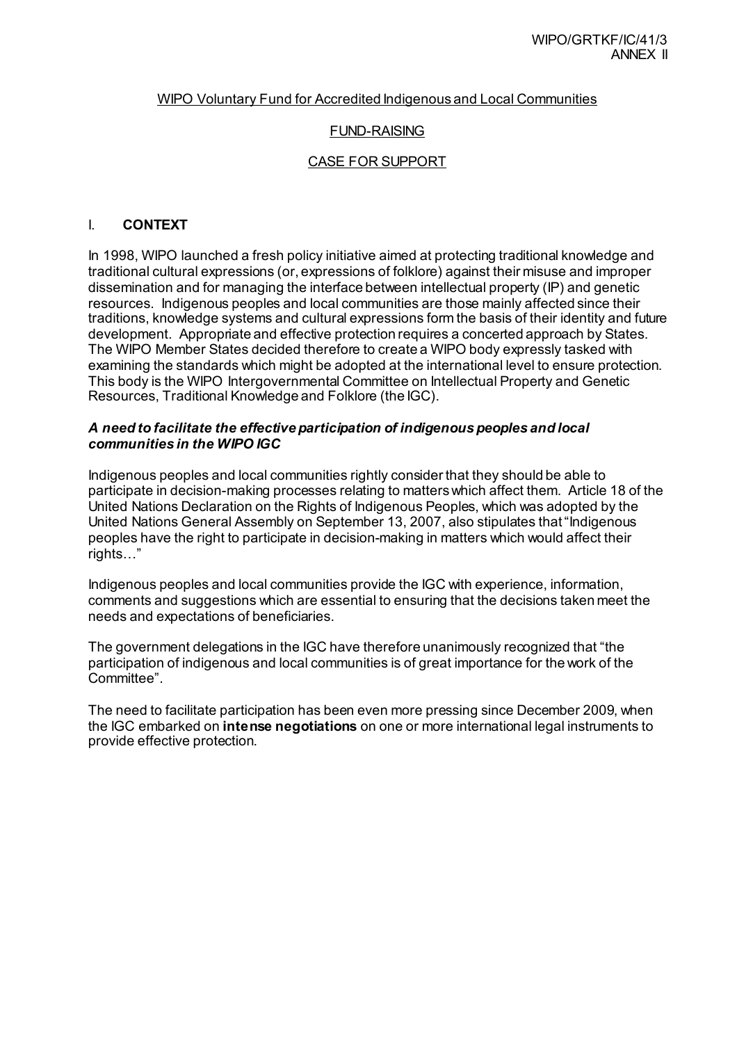### WIPO Voluntary Fund for Accredited Indigenous and Local Communities

### FUND-RAISING

#### CASE FOR SUPPORT

### I. **CONTEXT**

In 1998, WIPO launched a fresh policy initiative aimed at protecting traditional knowledge and traditional cultural expressions (or, expressions of folklore) against their misuse and improper dissemination and for managing the interface between intellectual property (IP) and genetic resources. Indigenous peoples and local communities are those mainly affected since their traditions, knowledge systems and cultural expressions form the basis of their identity and future development. Appropriate and effective protection requires a concerted approach by States. The WIPO Member States decided therefore to create a WIPO body expressly tasked with examining the standards which might be adopted at the international level to ensure protection. This body is the WIPO Intergovernmental Committee on Intellectual Property and Genetic Resources, Traditional Knowledge and Folklore (the IGC).

### *A need to facilitate the effective participation of indigenous peoples and local communities in the WIPO IGC*

Indigenous peoples and local communities rightly consider that they should be able to participate in decision-making processes relating to matters which affect them. Article 18 of the United Nations Declaration on the Rights of Indigenous Peoples, which was adopted by the United Nations General Assembly on September 13, 2007, also stipulates that "Indigenous peoples have the right to participate in decision-making in matters which would affect their rights…"

Indigenous peoples and local communities provide the IGC with experience, information, comments and suggestions which are essential to ensuring that the decisions taken meet the needs and expectations of beneficiaries.

The government delegations in the IGC have therefore unanimously recognized that "the participation of indigenous and local communities is of great importance for the work of the Committee".

The need to facilitate participation has been even more pressing since December 2009, when the IGC embarked on **intense negotiations** on one or more international legal instruments to provide effective protection.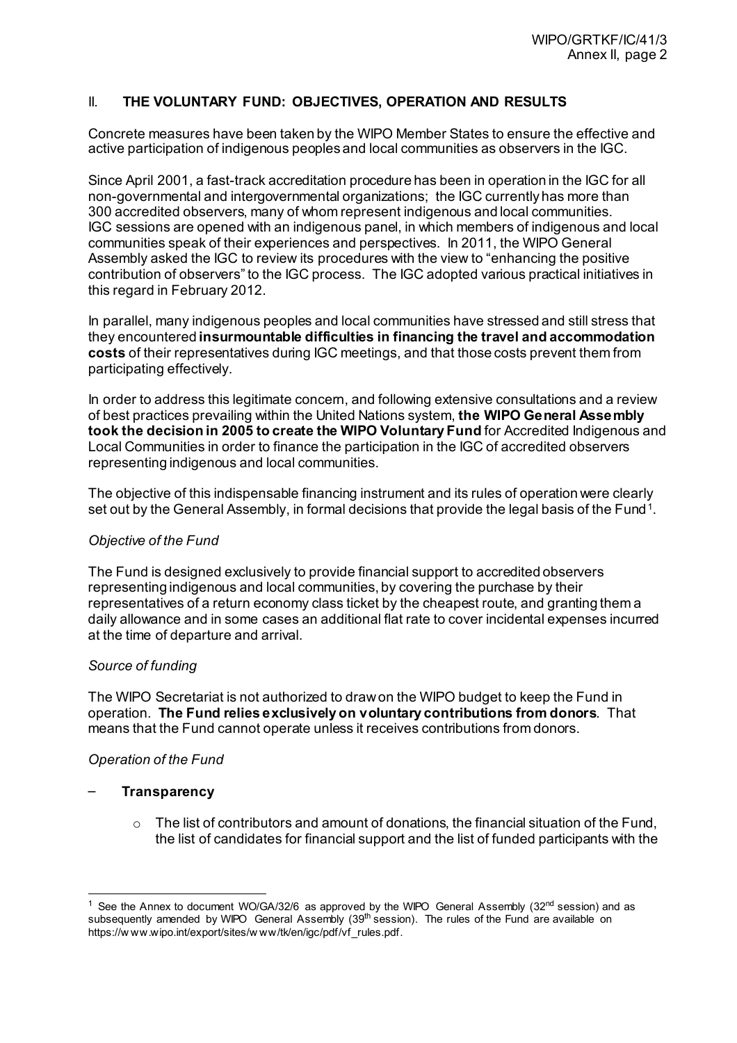# II. **THE VOLUNTARY FUND: OBJECTIVES, OPERATION AND RESULTS**

Concrete measures have been taken by the WIPO Member States to ensure the effective and active participation of indigenous peoples and local communities as observers in the IGC.

Since April 2001, a fast-track accreditation procedure has been in operation in the IGC for all non-governmental and intergovernmental organizations; the IGC currently has more than 300 accredited observers, many of whom represent indigenous and local communities. IGC sessions are opened with an indigenous panel, in which members of indigenous and local communities speak of their experiences and perspectives. In 2011, the WIPO General Assembly asked the IGC to review its procedures with the view to "enhancing the positive contribution of observers" to the IGC process. The IGC adopted various practical initiatives in this regard in February 2012.

In parallel, many indigenous peoples and local communities have stressed and still stress that they encountered **insurmountable difficulties in financing the travel and accommodation costs** of their representatives during IGC meetings, and that those costs prevent them from participating effectively.

In order to address this legitimate concern, and following extensive consultations and a review of best practices prevailing within the United Nations system, **the WIPO General Assembly took the decision in 2005 to create the WIPO Voluntary Fund** for Accredited Indigenous and Local Communities in order to finance the participation in the IGC of accredited observers representing indigenous and local communities.

The objective of this indispensable financing instrument and its rules of operation were clearly set out by the General Assembly, in formal decisions that provide the legal basis of the Fund<sup>[1](#page-11-0)</sup>.

# *Objective of the Fund*

The Fund is designed exclusively to provide financial support to accredited observers representing indigenous and local communities, by covering the purchase by their representatives of a return economy class ticket by the cheapest route, and granting them a daily allowance and in some cases an additional flat rate to cover incidental expenses incurred at the time of departure and arrival.

# *Source of funding*

The WIPO Secretariat is not authorized to draw on the WIPO budget to keep the Fund in operation. **The Fund relies exclusively on voluntary contributions from donors**. That means that the Fund cannot operate unless it receives contributions from donors.

# *Operation of the Fund*

#### – **Transparency**

 $\circ$  The list of contributors and amount of donations, the financial situation of the Fund, the list of candidates for financial support and the list of funded participants with the

<span id="page-11-0"></span><sup>&</sup>lt;sup>1</sup> See the Annex to document WO/GA/32/6 as approved by the WIPO General Assembly ( $32<sup>nd</sup>$  session) and as subsequently amended by WIPO General Assembly  $(39<sup>th</sup> s$  session). The rules of the Fund are available on [https://w ww.wipo.int/export/sites/w ww/tk/en/igc/pdf/vf\\_rules.pdf](https://www.wipo.int/export/sites/www/tk/en/igc/pdf/vf_rules.pdf).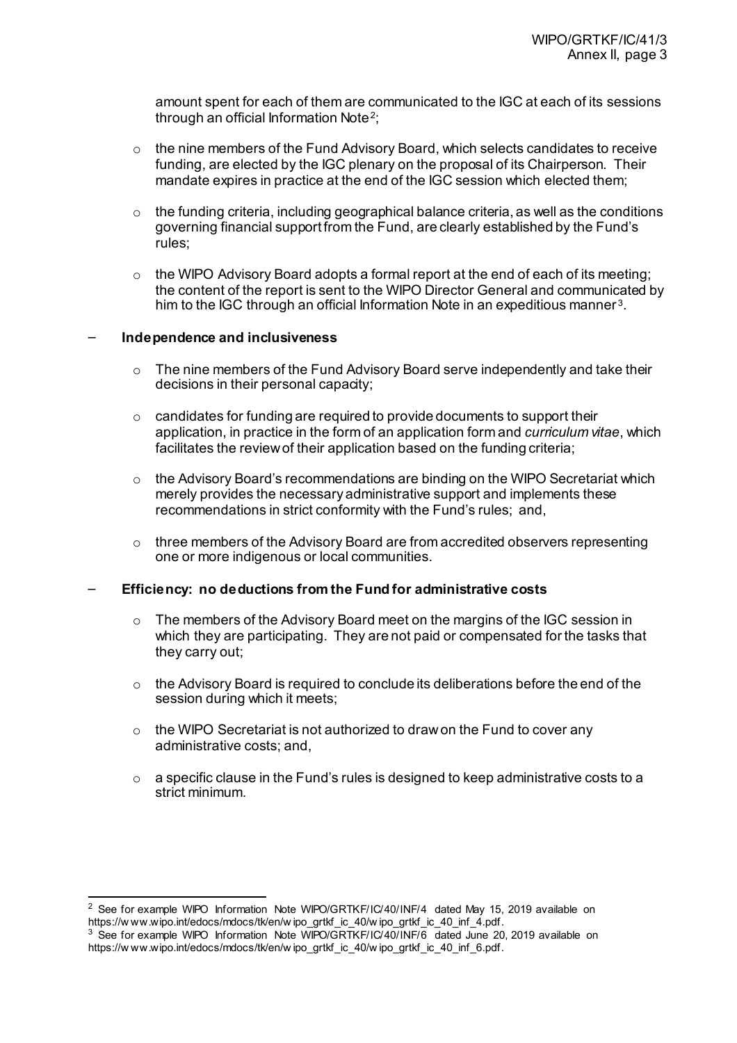amount spent for each of them are communicated to the IGC at each of its sessions through an official Information Note[2](#page-12-0);

- $\circ$  the nine members of the Fund Advisory Board, which selects candidates to receive funding, are elected by the IGC plenary on the proposal of its Chairperson. Their mandate expires in practice at the end of the IGC session which elected them;
- $\circ$  the funding criteria, including geographical balance criteria, as well as the conditions governing financial support from the Fund, are clearly established by the Fund's rules;
- $\circ$  the WIPO Advisory Board adopts a formal report at the end of each of its meeting; the content of the report is sent to the WIPO Director General and communicated by him to the IGC through an official Information Note in an expeditious manner<sup>[3](#page-12-1)</sup>.

### – **Independence and inclusiveness**

- $\circ$  The nine members of the Fund Advisory Board serve independently and take their decisions in their personal capacity;
- $\circ$  candidates for funding are required to provide documents to support their application, in practice in the form of an application form and *curriculum vitae*, which facilitates the review of their application based on the funding criteria;
- $\circ$  the Advisory Board's recommendations are binding on the WIPO Secretariat which merely provides the necessary administrative support and implements these recommendations in strict conformity with the Fund's rules; and,
- $\circ$  three members of the Advisory Board are from accredited observers representing one or more indigenous or local communities.

# – **Efficiency: no deductions from the Fund for administrative costs**

- o The members of the Advisory Board meet on the margins of the IGC session in which they are participating. They are not paid or compensated for the tasks that they carry out;
- $\circ$  the Advisory Board is required to conclude its deliberations before the end of the session during which it meets;
- $\circ$  the WIPO Secretariat is not authorized to draw on the Fund to cover any administrative costs; and,
- $\circ$  a specific clause in the Fund's rules is designed to keep administrative costs to a strict minimum.

<span id="page-12-0"></span> <sup>2</sup> See for example WIPO Information Note WIPO/GRTKF/IC/40/INF/4 dated May 15, 2019 available on https://w ww.wipo.int/edocs/mdocs/tk/en/w ipo\_grtkf\_ic\_40/w ipo\_grtkf\_ic\_40\_inf\_4.pdf.<br><sup>3</sup> See for example WIPO Information Note WIPO/GRTKF/IC/40/INF/6 dated June 20, 2019 available on

<span id="page-12-1"></span>https://www.wipo.int/edocs/mdocs/tk/en/wipo\_grtkf\_ic\_40/wipo\_grtkf\_ic\_40\_inf\_6.pdf.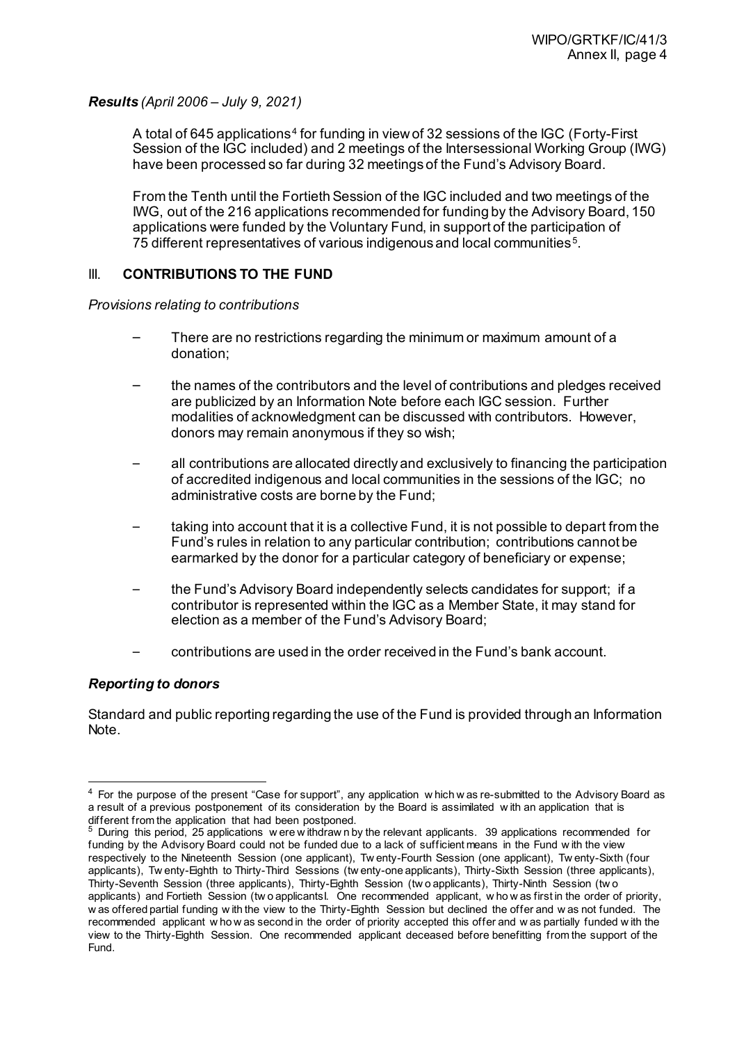*Results (April 2006 – July 9, 2021)*

A total of 6[4](#page-13-0)5 applications<sup>4</sup> for funding in view of 32 sessions of the IGC (Forty-First Session of the IGC included) and 2 meetings of the Intersessional Working Group (IWG) have been processed so far during 32 meetings of the Fund's Advisory Board.

From the Tenth until the Fortieth Session of the IGC included and two meetings of the IWG, out of the 216 applications recommended for funding by the Advisory Board, 150 applications were funded by the Voluntary Fund, in support of the participation of 75 different representatives of various indigenous and local communities [5](#page-13-1).

# III. **CONTRIBUTIONS TO THE FUND**

*Provisions relating to contributions*

- There are no restrictions regarding the minimum or maximum amount of a donation;
- the names of the contributors and the level of contributions and pledges received are publicized by an Information Note before each IGC session. Further modalities of acknowledgment can be discussed with contributors. However, donors may remain anonymous if they so wish;
- all contributions are allocated directly and exclusively to financing the participation of accredited indigenous and local communities in the sessions of the IGC; no administrative costs are borne by the Fund;
- taking into account that it is a collective Fund, it is not possible to depart from the Fund's rules in relation to any particular contribution; contributions cannot be earmarked by the donor for a particular category of beneficiary or expense;
- the Fund's Advisory Board independently selects candidates for support; if a contributor is represented within the IGC as a Member State, it may stand for election as a member of the Fund's Advisory Board;
- contributions are used in the order received in the Fund's bank account.

# *Reporting to donors*

Standard and public reporting regarding the use of the Fund is provided through an Information Note.

<span id="page-13-0"></span><sup>&</sup>lt;sup>4</sup> For the purpose of the present "Case for support", any application w hich w as re-submitted to the Advisory Board as a result of a previous postponement of its consideration by the Board is assimilated w ith an application that is different from the application that had been postponed.

<span id="page-13-1"></span><sup>5</sup> During this period, 25 applications w ere w ithdraw n by the relevant applicants. 39 applications recommended for funding by the Advisory Board could not be funded due to a lack of sufficient means in the Fund w ith the view respectively to the Nineteenth Session (one applicant), Tw enty-Fourth Session (one applicant), Tw enty-Sixth (four applicants), Tw enty-Eighth to Thirty-Third Sessions (tw enty-one applicants), Thirty-Sixth Session (three applicants), Thirty-Seventh Session (three applicants), Thirty-Eighth Session (tw o applicants), Thirty-Ninth Session (tw o applicants) and Fortieth Session (tw o applicantsI. One recommended applicant, w ho w as first in the order of priority, w as offered partial funding w ith the view to the Thirty-Eighth Session but declined the offer and w as not funded. The recommended applicant w ho w as second in the order of priority accepted this offer and w as partially funded w ith the view to the Thirty-Eighth Session. One recommended applicant deceased before benefitting from the support of the Fund.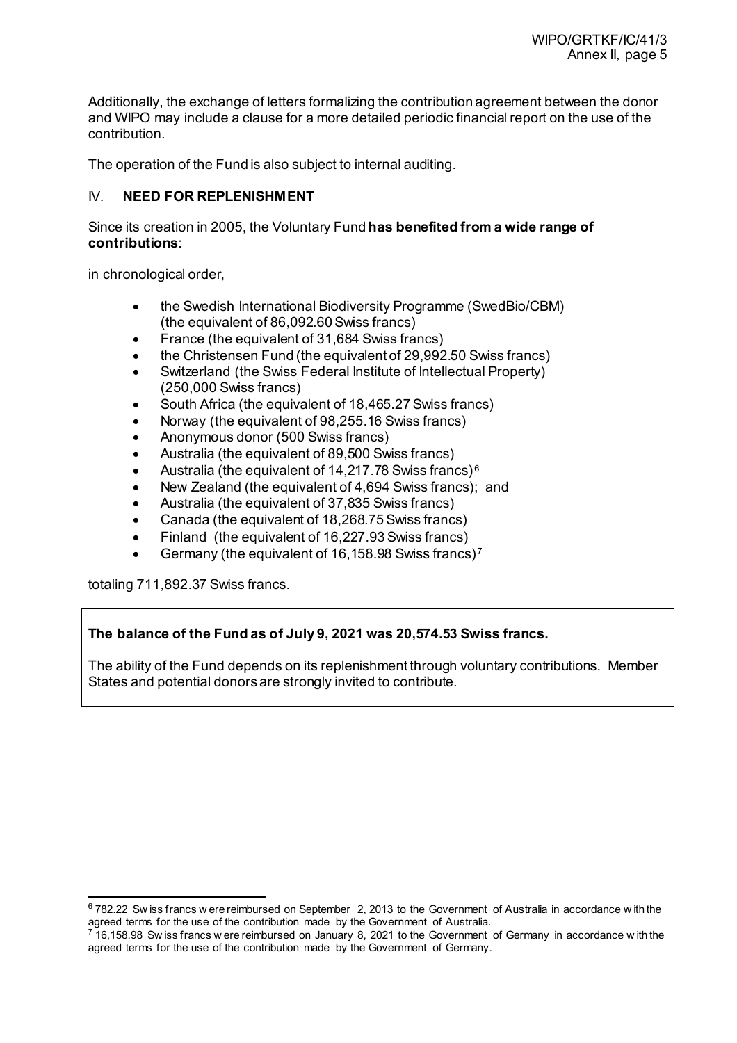Additionally, the exchange of letters formalizing the contribution agreement between the donor and WIPO may include a clause for a more detailed periodic financial report on the use of the contribution.

The operation of the Fund is also subject to internal auditing.

# IV. **NEED FOR REPLENISHMENT**

Since its creation in 2005, the Voluntary Fund **has benefited from a wide range of contributions**:

in chronological order,

- the Swedish International Biodiversity Programme (SwedBio/CBM) (the equivalent of 86,092.60 Swiss francs)
- France (the equivalent of 31,684 Swiss francs)
- the Christensen Fund (the equivalent of 29,992.50 Swiss francs)
- Switzerland (the Swiss Federal Institute of Intellectual Property) (250,000 Swiss francs)
- South Africa (the equivalent of 18,465.27 Swiss francs)
- Norway (the equivalent of 98,255.16 Swiss francs)
- Anonymous donor (500 Swiss francs)
- Australia (the equivalent of 89,500 Swiss francs)
- Australia (the equivalent of 14,217.78 Swiss francs) [6](#page-14-0)
- New Zealand (the equivalent of 4,694 Swiss francs); and
- Australia (the equivalent of 37,835 Swiss francs)
- Canada (the equivalent of 18,268.75 Swiss francs)
- Finland (the equivalent of 16,227.93 Swiss francs)
- Germany (the equivalent of 16,158.98 Swiss francs) [7](#page-14-1)

totaling 711,892.37 Swiss francs.

# **The balance of the Fund as of July 9, 2021 was 20,574.53 Swiss francs.**

The ability of the Fund depends on its replenishment through voluntary contributions. Member States and potential donors are strongly invited to contribute.

<span id="page-14-0"></span> <sup>6</sup> 782.22 Sw iss francs w ere reimbursed on September 2, 2013 to the Government of Australia in accordance w ith the agreed terms for the use of the contribution made by the Government of Australia.

<span id="page-14-1"></span> $716,158.98$  Sw iss francs w ere reimbursed on January 8, 2021 to the Government of Germany in accordance with the agreed terms for the use of the contribution made by the Government of Germany.